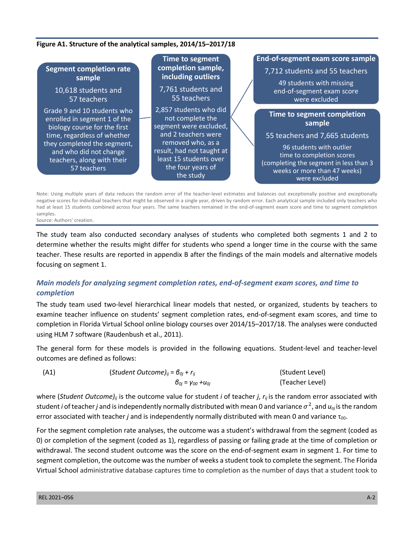#### **Figure A1. Structure of the analytical samples, 2014/15–2017/18**

#### **End-of-segment exam score sample Time to segment** completion sample, **Segment completion rate** 7,712 students and 55 teachers **including outliers** sample 49 students with missing 7,761 students and 10.618 students and end-of-segment exam score 55 teachers 57 teachers were excluded Grade 9 and 10 students who 2,857 students who did **Time to segment completion** not complete the enrolled in segment 1 of the sample segment were excluded, biology course for the first and 2 teachers were time, regardless of whether 55 teachers and 7,665 students they completed the segment, removed who, as a 96 students with outlier result, had not taught at and who did not change time to completion scores least 15 students over teachers, along with their (completing the segment in less than 3 the four years of 57 teachers weeks or more than 47 weeks) the study were excluded

Note: Using multiple years of data reduces the random error of the teacher-level estimates and balances out exceptionally positive and exceptionally negative scores for individual teachers that might be observed in a single year, driven by random error. Each analytical sample included only teachers who had at least 15 students combined across four years. The same teachers remained in the end-of-segment exam score and time to segment completion samples.

Source: Authors' creation.

The study team also conducted secondary analyses of students who completed both segments 1 and 2 to determine whether the results might differ for students who spend a longer time in the course with the same teacher. These results are reported in appendix B after the findings of the main models and alternative models focusing on segment 1.

# *Main models for analyzing segment completion rates, end-of-segment exam scores, and time to completion*

The study team used two-level hierarchical linear models that nested, or organized, students by teachers to examine teacher influence on students' segment completion rates, end-of-segment exam scores, and time to completion in Florida Virtual School online biology courses over 2014/15–2017/18. The analyses were conducted using HLM 7 software (Raudenbush et al., 2011).

The general form for these models is provided in the following equations. Student-level and teacher-level outcomes are defined as follows:

| (A1) | (Student Outcome) <sub>ii</sub> = $\theta_{0i}$ + $r_{ii}$ | (Student Level) |  |  |
|------|------------------------------------------------------------|-----------------|--|--|
|      | $\beta_{0i}$ = $\gamma_{00}$ + $u_{0i}$                    | (Teacher Level) |  |  |

where (*Student Outcome)ij* is the outcome value for student *i* of teacher *j*, *rij* is the random error associated with student *i* of teacher *j* and is independently normally distributed with mean 0 and variance  $\sigma^2$ , and  $u_{0i}$  is the random error associated with teacher *j* and is independently normally distributed with mean 0 and variance τ<sub>00</sub>.

For the segment completion rate analyses, the outcome was a student's withdrawal from the segment (coded as 0) or completion of the segment (coded as 1), regardless of passing or failing grade at the time of completion or withdrawal. The second student outcome was the score on the end-of-segment exam in segment 1. For time to segment completion, the outcome was the number of weeks a student took to complete the segment. The Florida Virtual School administrative database captures time to completion as the number of days that a student took to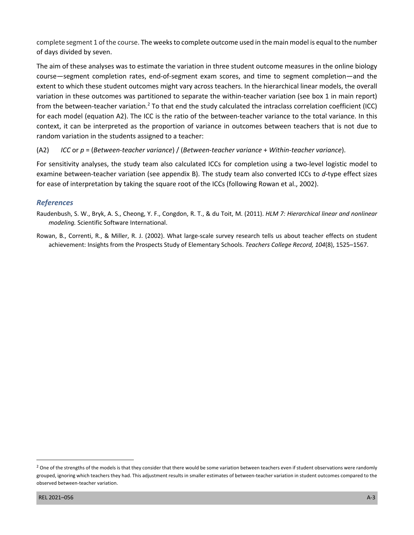complete segment 1 of the course. The weeks to complete outcome used in the main model is equal to the number of days divided by seven.

The aim of these analyses was to estimate the variation in three student outcome measures in the online biology course—segment completion rates, end-of-segment exam scores, and time to segment completion—and the extent to which these student outcomes might vary across teachers. In the hierarchical linear models, the overall variation in these outcomes was partitioned to separate the within-teacher variation (see box 1 in main report) from the between-teacher variation.<sup>2</sup> To that end the study calculated the intraclass correlation coefficient (ICC) for each model (equation A2). The ICC is the ratio of the between-teacher variance to the total variance. In this context, it can be interpreted as the proportion of variance in outcomes between teachers that is not due to random variation in the students assigned to a teacher:

(A2) *ICC* or *p* = (*Between-teacher variance*) / (*Between-teacher variance* + *Within-teacher variance*).

For sensitivity analyses, the study team also calculated ICCs for completion using a two-level logistic model to examine between-teacher variation (see appendix B). The study team also converted ICCs to *d*-type effect sizes for ease of interpretation by taking the square root of the ICCs (following Rowan et al., 2002).

# *References*

- Raudenbush, S. W., Bryk, A. S., Cheong, Y. F., Congdon, R. T., & du Toit, M. (2011). *HLM 7: Hierarchical linear and nonlinear modeling.* Scientific Software International.
- Rowan, B., Correnti, R., & Miller, R. J. (2002). What large-scale survey research tells us about teacher effects on student achievement: Insights from the Prospects Study of Elementary Schools. *Teachers College Record, 104*(8), 1525–1567.

<sup>&</sup>lt;sup>2</sup> One of the strengths of the models is that they consider that there would be some variation between teachers even if student observations were randomly grouped, ignoring which teachers they had. This adjustment results in smaller estimates of between-teacher variation in student outcomes compared to the observed between-teacher variation.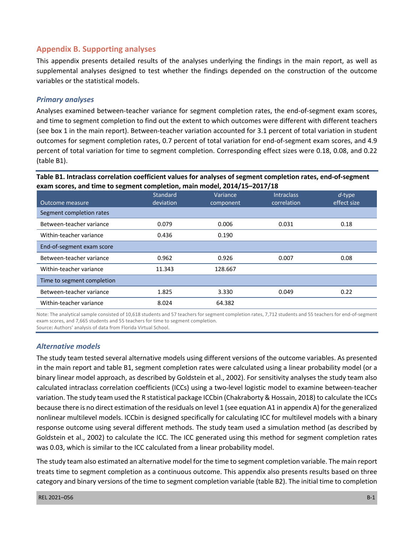# **Appendix B. Supporting analyses**

This appendix presents detailed results of the analyses underlying the findings in the main report, as well as supplemental analyses designed to test whether the findings depended on the construction of the outcome variables or the statistical models.

## *Primary analyses*

Analyses examined between-teacher variance for segment completion rates, the end-of-segment exam scores, and time to segment completion to find out the extent to which outcomes were different with different teachers (see box 1 in the main report). Between-teacher variation accounted for 3.1 percent of total variation in student outcomes for segment completion rates, 0.7 percent of total variation for end-of-segment exam scores, and 4.9 percent of total variation for time to segment completion. Corresponding effect sizes were 0.18, 0.08, and 0.22 (table B1).

#### **Table B1. Intraclass correlation coefficient values for analyses of segment completion rates, end-of-segment exam scores, and time to segment completion, main model, 2014/15–2017/18**

|                            | Standard  | Variance  | <b>Intraclass</b> | $d$ -type   |
|----------------------------|-----------|-----------|-------------------|-------------|
| Outcome measure            | deviation | component | correlation       | effect size |
| Segment completion rates   |           |           |                   |             |
| Between-teacher variance   | 0.079     | 0.006     | 0.031             | 0.18        |
| Within-teacher variance    | 0.436     | 0.190     |                   |             |
| End-of-segment exam score  |           |           |                   |             |
| Between-teacher variance   | 0.962     | 0.926     | 0.007             | 0.08        |
| Within-teacher variance    | 11.343    | 128.667   |                   |             |
| Time to segment completion |           |           |                   |             |
| Between-teacher variance   | 1.825     | 3.330     | 0.049             | 0.22        |
| Within-teacher variance    | 8.024     | 64.382    |                   |             |

Note: The analytical sample consisted of 10,618 students and 57 teachers for segment completion rates, 7,712 students and 55 teachers for end-of-segment exam scores, and 7,665 students and 55 teachers for time to segment completion.

Source**:** Authors' analysis of data from Florida Virtual School.

# *Alternative models*

The study team tested several alternative models using different versions of the outcome variables. As presented in the main report and table B1, segment completion rates were calculated using a linear probability model (or a binary linear model approach, as described by Goldstein et al., 2002). For sensitivity analyses the study team also calculated intraclass correlation coefficients (ICCs) using a two-level logistic model to examine between-teacher variation. The study team used the R statistical package ICCbin (Chakraborty & Hossain, 2018) to calculate the ICCs because there is no direct estimation of the residuals on level 1 (see equation A1 in appendix A) for the generalized nonlinear multilevel models. ICCbin is designed specifically for calculating ICC for multilevel models with a binary response outcome using several different methods. The study team used a simulation method (as described by Goldstein et al., 2002) to calculate the ICC. The ICC generated using this method for segment completion rates was 0.03, which is similar to the ICC calculated from a linear probability model.

The study team also estimated an alternative model for the time to segment completion variable. The main report treats time to segment completion as a continuous outcome. This appendix also presents results based on three category and binary versions of the time to segment completion variable (table B2). The initial time to completion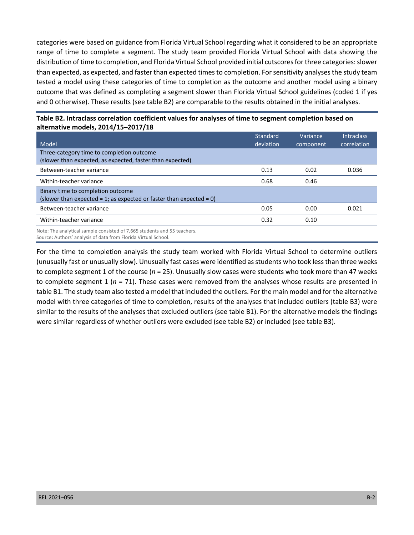categories were based on guidance from Florida Virtual School regarding what it considered to be an appropriate range of time to complete a segment. The study team provided Florida Virtual School with data showing the distribution of time to completion, and Florida Virtual School provided initial cutscores for three categories: slower than expected, as expected, and faster than expected times to completion. For sensitivity analyses the study team tested a model using these categories of time to completion as the outcome and another model using a binary outcome that was defined as completing a segment slower than Florida Virtual School guidelines (coded 1 if yes and 0 otherwise). These results (see table B2) are comparable to the results obtained in the initial analyses.

| Model                                                                                                    | Standard<br>deviation | Variance<br>component | <b>Intraclass</b><br>correlation |
|----------------------------------------------------------------------------------------------------------|-----------------------|-----------------------|----------------------------------|
| Three-category time to completion outcome<br>(slower than expected, as expected, faster than expected)   |                       |                       |                                  |
| Between-teacher variance                                                                                 | 0.13                  | 0.02                  | 0.036                            |
| Within-teacher variance                                                                                  | 0.68                  | 0.46                  |                                  |
| Binary time to completion outcome<br>(slower than expected = 1; as expected or faster than expected = 0) |                       |                       |                                  |
| Between-teacher variance                                                                                 | 0.05                  | 0.00                  | 0.021                            |
| Within-teacher variance                                                                                  | 0.32                  | 0.10                  |                                  |
|                                                                                                          |                       |                       |                                  |

## **Table B2. Intraclass correlation coefficient values for analyses of time to segment completion based on alternative models, 2014/15–2017/18**

Note: The analytical sample consisted of 7,665 students and 55 teachers. Source**:** Authors' analysis of data from Florida Virtual School.

For the time to completion analysis the study team worked with Florida Virtual School to determine outliers (unusually fast or unusually slow). Unusually fast cases were identified asstudents who took less than three weeks to complete segment 1 of the course (*n* = 25). Unusually slow cases were students who took more than 47 weeks to complete segment 1 (*n* = 71). These cases were removed from the analyses whose results are presented in table B1. The study team also tested a model that included the outliers. For the main model and for the alternative model with three categories of time to completion, results of the analyses that included outliers (table B3) were similar to the results of the analyses that excluded outliers (see table B1). For the alternative models the findings were similar regardless of whether outliers were excluded (see table B2) or included (see table B3).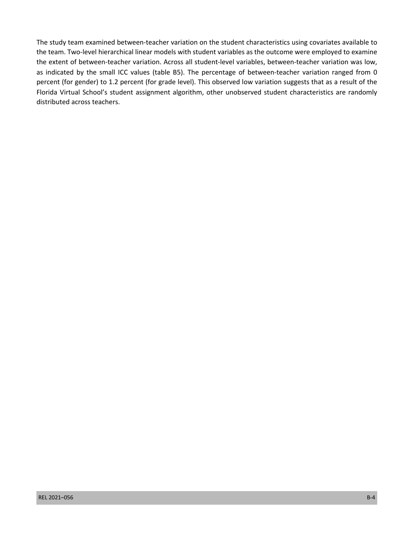The study team examined between-teacher variation on the student characteristics using covariates available to the team. Two-level hierarchical linear models with student variables as the outcome were employed to examine the extent of between-teacher variation. Across all student-level variables, between-teacher variation was low, as indicated by the small ICC values (table B5). The percentage of between-teacher variation ranged from 0 percent (for gender) to 1.2 percent (for grade level). This observed low variation suggests that as a result of the Florida Virtual School's student assignment algorithm, other unobserved student characteristics are randomly distributed across teachers.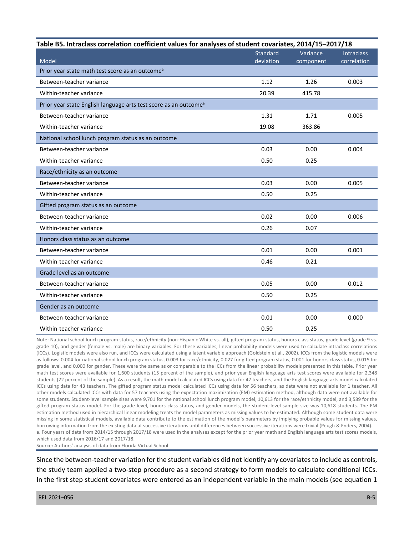| Table B5. Intraclass correlation coefficient values for analyses of student covariates, 2014/15-2017/18 |           |           |                   |  |  |
|---------------------------------------------------------------------------------------------------------|-----------|-----------|-------------------|--|--|
|                                                                                                         | Standard  | Variance  | <b>Intraclass</b> |  |  |
| Model                                                                                                   | deviation | component | correlation       |  |  |
| Prior year state math test score as an outcome <sup>a</sup>                                             |           |           |                   |  |  |
| Between-teacher variance                                                                                | 1.12      | 1.26      | 0.003             |  |  |
| Within-teacher variance                                                                                 | 20.39     | 415.78    |                   |  |  |
| Prior year state English language arts test score as an outcome <sup>a</sup>                            |           |           |                   |  |  |
| Between-teacher variance                                                                                | 1.31      | 1.71      | 0.005             |  |  |
| Within-teacher variance                                                                                 | 19.08     | 363.86    |                   |  |  |
| National school lunch program status as an outcome                                                      |           |           |                   |  |  |
| Between-teacher variance                                                                                | 0.03      | 0.00      | 0.004             |  |  |
| Within-teacher variance                                                                                 | 0.50      | 0.25      |                   |  |  |
| Race/ethnicity as an outcome                                                                            |           |           |                   |  |  |
| Between-teacher variance                                                                                | 0.03      | 0.00      | 0.005             |  |  |
| Within-teacher variance                                                                                 | 0.50      | 0.25      |                   |  |  |
| Gifted program status as an outcome                                                                     |           |           |                   |  |  |
| Between-teacher variance                                                                                | 0.02      | 0.00      | 0.006             |  |  |
| Within-teacher variance                                                                                 | 0.26      | 0.07      |                   |  |  |
| Honors class status as an outcome                                                                       |           |           |                   |  |  |
| Between-teacher variance                                                                                | 0.01      | 0.00      | 0.001             |  |  |
| Within-teacher variance                                                                                 | 0.46      | 0.21      |                   |  |  |
| Grade level as an outcome                                                                               |           |           |                   |  |  |
| Between-teacher variance                                                                                | 0.05      | 0.00      | 0.012             |  |  |
| Within-teacher variance                                                                                 | 0.50      | 0.25      |                   |  |  |
| Gender as an outcome                                                                                    |           |           |                   |  |  |
| Between-teacher variance                                                                                | 0.01      | 0.00      | 0.000             |  |  |
| Within-teacher variance                                                                                 | 0.50      | 0.25      |                   |  |  |

Note: National school lunch program status, race/ethnicity (non-Hispanic White vs. all), gifted program status, honors class status, grade level (grade 9 vs. grade 10), and gender (female vs. male) are binary variables. For these variables, linear probability models were used to calculate intraclass correlations (ICCs). Logistic models were also run, and ICCs were calculated using a latent variable approach (Goldstein et al., 2002). ICCs from the logistic models were as follows: 0.004 for national school lunch program status, 0.003 for race/ethnicity, 0.027 for gifted program status, 0.001 for honors class status, 0.015 for grade level, and 0.000 for gender. These were the same as or comparable to the ICCs from the linear probability models presented in this table. Prior year math test scores were available for 1,600 students (15 percent of the sample), and prior year English language arts test scores were available for 2,348 students (22 percent of the sample). As a result, the math model calculated ICCs using data for 42 teachers, and the English language arts model calculated ICCs using data for 43 teachers. The gifted program status model calculated ICCs using data for 56 teachers, as data were not available for 1 teacher. All other models calculated ICCs with data for 57 teachers using the expectation maximization (EM) estimation method, although data were not available for some students. Student-level sample sizes were 9,701 for the national school lunch program model, 10,613 for the race/ethnicity model, and 3,589 for the gifted program status model. For the grade level, honors class status, and gender models, the student-level sample size was 10,618 students. The EM estimation method used in hierarchical linear modeling treats the model parameters as missing values to be estimated. Although some student data were missing in some statistical models, available data contribute to the estimation of the model's parameters by implying probable values for missing values, borrowing information from the existing data at successive iterations until differences between successive iterations were trivial (Peugh & Enders, 2004). a. Four years of data from 2014/15 through 2017/18 were used in the analyses except for the prior year math and English language arts test scores models,

which used data from 2016/17 and 2017/18.

Source**:** Authors' analysis of data from Florida Virtual School

Since the between-teacher variation for the student variables did not identify any covariates to include as controls, the study team applied a two-step procedure as a second strategy to form models to calculate conditional ICCs. In the first step student covariates were entered as an independent variable in the main models (see equation 1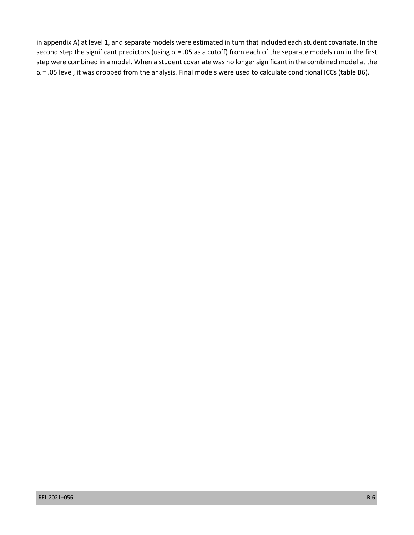in appendix A) at level 1, and separate models were estimated in turn that included each student covariate. In the second step the significant predictors (using  $\alpha$  = .05 as a cutoff) from each of the separate models run in the first step were combined in a model. When a student covariate was no longer significant in the combined model at the  $\alpha$  = .05 level, it was dropped from the analysis. Final models were used to calculate conditional ICCs (table B6).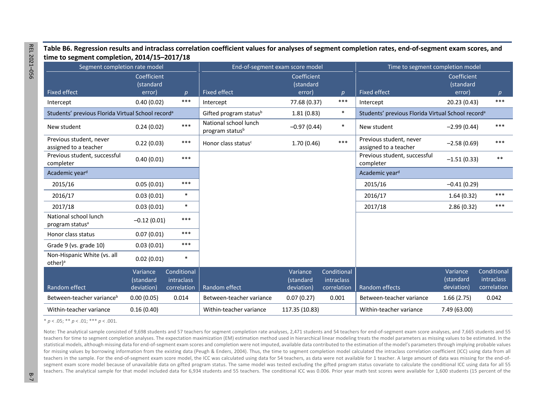**Table B6. Regression results and intraclass correlation coefficient values for analyses of segment completion rates, end-of-segment exam scores, and time to segment completion, 2014/15–2017/18** 

|                                                               | Segment completion rate model<br>End-of-segment exam score model |                                    |                                                      | Time to segment completion model   |                                                               |                                                  |                                    |                           |
|---------------------------------------------------------------|------------------------------------------------------------------|------------------------------------|------------------------------------------------------|------------------------------------|---------------------------------------------------------------|--------------------------------------------------|------------------------------------|---------------------------|
| <b>Fixed effect</b>                                           | Coefficient<br>(standard<br>error)                               | p                                  | <b>Fixed effect</b>                                  | Coefficient<br>(standard<br>error) | $\boldsymbol{p}$                                              | <b>Fixed effect</b>                              | Coefficient<br>(standard<br>error) |                           |
| Intercept                                                     | 0.40(0.02)                                                       | $***$                              | Intercept                                            | 77.68 (0.37)                       | $***$                                                         | Intercept                                        | 20.23 (0.43)                       | p<br>$***$                |
| Students' previous Florida Virtual School record <sup>a</sup> |                                                                  | Gifted program status <sup>b</sup> | 1.81(0.83)                                           | $\ast$                             | Students' previous Florida Virtual School record <sup>a</sup> |                                                  |                                    |                           |
| New student                                                   | 0.24(0.02)                                                       | $***$                              | National school lunch<br>program status <sup>b</sup> | $-0.97(0.44)$                      | $\ast$                                                        | New student                                      | $-2.99(0.44)$                      | ***                       |
| Previous student, never<br>assigned to a teacher              | 0.22(0.03)                                                       | $***$                              | Honor class status <sup>c</sup>                      | 1.70(0.46)                         | $***$                                                         | Previous student, never<br>assigned to a teacher | $-2.58(0.69)$                      | ***                       |
| Previous student, successful<br>completer                     | 0.40(0.01)                                                       | $***$                              |                                                      |                                    |                                                               | Previous student, successful<br>completer        | $-1.51(0.33)$                      | $***$                     |
| Academic year <sup>d</sup>                                    |                                                                  |                                    |                                                      |                                    |                                                               | Academic year <sup>d</sup>                       |                                    |                           |
| 2015/16                                                       | 0.05(0.01)                                                       | $***$                              |                                                      |                                    |                                                               | 2015/16                                          | $-0.41(0.29)$                      |                           |
| 2016/17                                                       | 0.03(0.01)                                                       | $\ast$                             |                                                      |                                    |                                                               | 2016/17                                          | 1.64(0.32)                         | $***$                     |
| 2017/18                                                       | 0.03(0.01)                                                       | $\ast$                             |                                                      |                                    |                                                               | 2017/18                                          | 2.86(0.32)                         | $***$                     |
| National school lunch<br>program status <sup>a</sup>          | $-0.12(0.01)$                                                    | $***$                              |                                                      |                                    |                                                               |                                                  |                                    |                           |
| Honor class status                                            | 0.07(0.01)                                                       | $***$                              |                                                      |                                    |                                                               |                                                  |                                    |                           |
| Grade 9 (vs. grade 10)                                        | 0.03(0.01)                                                       | ***                                |                                                      |                                    |                                                               |                                                  |                                    |                           |
| Non-Hispanic White (vs. all<br>other) <sup>a</sup>            | 0.02(0.01)                                                       | $\ast$                             |                                                      |                                    |                                                               |                                                  |                                    |                           |
|                                                               | Variance<br>(standard                                            | Conditional<br>intraclass          |                                                      | Variance<br>(standard              | Conditional<br>intraclass                                     |                                                  | Variance<br>(standard              | Conditional<br>intraclass |
| Random effect                                                 | deviation)                                                       | correlation                        | Random effect                                        | deviation)                         | correlation                                                   | Random effects                                   | deviation)                         | correlation               |
| Between-teacher variance <sup>b</sup>                         | 0.00(0.05)                                                       | 0.014                              | Between-teacher variance                             | 0.07(0.27)                         | 0.001                                                         | Between-teacher variance                         | 1.66(2.75)                         | 0.042                     |
| Within-teacher variance                                       | 0.16(0.40)                                                       |                                    | Within-teacher variance                              | 117.35 (10.83)                     |                                                               | Within-teacher variance                          | 7.49 (63.00)                       |                           |

 $* p < .05$ ; \*\*  $p < .01$ ; \*\*\*  $p < .001$ .

Note: The analytical sample consisted of 9,698 students and 57 teachers for segment completion rate analyses, 2,471 students and 54 teachers for end-of-segment exam score analyses, and 7,665 students and 55 teachers for time to segment completion analyses. The expectation maximization (EM) estimation method used in hierarchical linear modeling treats the model parameters as missing values to be estimated. In the statistical models, although missing data for end-of-segment exam scores and completion were not imputed, available data contributed to the estimation of the model's parameters through implying probable values for missing values by borrowing information from the existing data (Peugh & Enders, 2004). Thus, the time to segment completion model calculated the intraclass correlation coefficient (ICC) using data from all teachers in the sample. For the end-of-segment exam score model, the ICC was calculated using data for 54 teachers, as data were not available for 1 teacher. A large amount of data was missing for the end-ofsegment exam score model because of unavailable data on gifted program status. The same model was tested excluding the gifted program status covariate to calculate the conditional ICC using data for all 55 teachers. The analytical sample for that model included data for 6,934 students and 55 teachers. The conditional ICC was 0.006. Prior year math test scores were available for 1,600 students (15 percent of the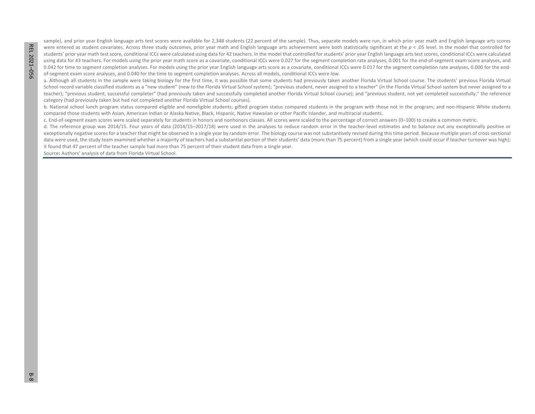sample), and prior year English language arts test scores were available for 2,348 students (22 percent of the sample). Thus, separate models were run, in which prior year math and English language arts scores were entered as student covariates. Across three study outcomes, prior year math and English language arts achievement were both statistically significant at the *p* < .05 level. In the model that controlled for students' prior year math test score, conditional ICCs were calculated using data for 42 teachers. In the model that controlled for students' prior year English language arts test scores, conditional ICCs were calculated using data for 43 teachers. For models using the prior year math score as a covariate, conditional ICCs were 0.027 for the segment completion rate analyses, 0.001 for the end-of-segment exam score analyses, and 0.042 for time to segment completion analyses. For models using the prior year English language arts score as a covariate, conditional ICCs were 0.017 for the segment completion rate analyses, 0.000 for the endof-segment exam score analyses, and 0.040 for the time to segment completion analyses. Across all models, conditional ICCs were low.

a. Although all students in the sample were taking biology for the first time, it was possible that some students had previously taken another Florida Virtual School course. The students' previous Florida Virtual School record variable classified students as a "new student" (new to the Florida Virtual School system); "previous student, never assigned to a teacher" (in the Florida Virtual School system but never assigned to a teacher); "previous student, successful completer" (had previously taken and successfully completed another Florida Virtual School course); and "previous student, not yet completed successfully," the reference category (had previously taken but had not completed another Florida Virtual School courses).

b. National school lunch program status compared eligible and noneligible students; gifted program status compared students in the program with those not in the program; and non-Hispanic White students compared those students with Asian, American Indian or Alaska Native, Black, Hispanic, Native Hawaiian or other Pacific Islander, and multiracial students.

c. End-of-segment exam scores were scaled separately for students in honors and nonhonors classes. All scores were scaled to the percentage of correct answers (0–100) to create a common metric.

d. The reference group was 2014/15. Four years of data (2014/15–2017/18) were used in the analyses to reduce random error in the teacher-level estimates and to balance out any exceptionally positive or exceptionally negative scores for a teacher that might be observed in a single year by random error. The biology course was not substantively revised during this time period. Because multiple years of cross-sectional data were used, the study team examined whether a majority of teachers had a substantial portion of their students' data (more than 75 percent) from a single year (which could occur if teacher turnover was high); it found that 47 percent of the teacher sample had more than 75 percent of their student data from a single year.

Source**:** Authors' analysis of data from Florida Virtual School.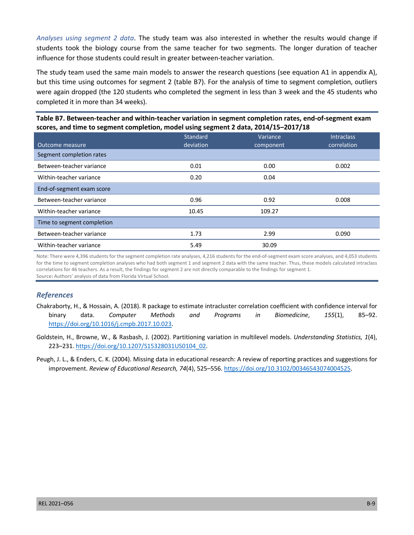*Analyses using segment 2 data*. The study team was also interested in whether the results would change if students took the biology course from the same teacher for two segments. The longer duration of teacher influence for those students could result in greater between-teacher variation.

The study team used the same main models to answer the research questions (see equation A1 in appendix A), but this time using outcomes for segment 2 (table B7). For the analysis of time to segment completion, outliers were again dropped (the 120 students who completed the segment in less than 3 week and the 45 students who completed it in more than 34 weeks).

## **Table B7. Between-teacher and within-teacher variation in segment completion rates, end-of-segment exam scores, and time to segment completion, model using segment 2 data, 2014/15–2017/18**

|                            | Standard  | Variance  | <b>Intraclass</b> |
|----------------------------|-----------|-----------|-------------------|
| Outcome measure            | deviation | component | correlation       |
| Segment completion rates   |           |           |                   |
| Between-teacher variance   | 0.01      | 0.00      | 0.002             |
| Within-teacher variance    | 0.20      | 0.04      |                   |
| End-of-segment exam score  |           |           |                   |
| Between-teacher variance   | 0.96      | 0.92      | 0.008             |
| Within-teacher variance    | 10.45     | 109.27    |                   |
| Time to segment completion |           |           |                   |
| Between-teacher variance   | 1.73      | 2.99      | 0.090             |
| Within-teacher variance    | 5.49      | 30.09     |                   |

Note: There were 4,396 students for the segment completion rate analyses, 4,216 students for the end-of-segment exam score analyses, and 4,053 students for the time to segment completion analyses who had both segment 1 and segment 2 data with the same teacher. Thus, these models calculated intraclass correlations for 46 teachers. As a result, the findings for segment 2 are not directly comparable to the findings for segment 1. Source**:** Authors' analysis of data from Florida Virtual School.

#### *References*

- Chakraborty, H., & Hossain, A. (2018). R package to estimate intracluster correlation coefficient with confidence interval for binary data. *Computer Methods and Programs in Biomedicine*, *155*(1), 85–92. [https://doi.org/10.1016/j.cmpb.2017.10.023.](https://doi.org/10.1016/j.cmpb.2017.10.023)
- Goldstein, H., Browne, W., & Rasbash, J. (2002). Partitioning variation in multilevel models. *Understanding Statistics, 1*(4), 223–231. [https://doi.org/10.1207/S15328031US0104\\_02.](https://doi.org/10.1207/S15328031US0104_02)

Peugh, J. L., & Enders, C. K. (2004). Missing data in educational research: A review of reporting practices and suggestions for improvement. *Review of Educational Research, 74*(4), 525–556. [https://doi.org/10.3102/00346543074004525.](https://doi.org/10.3102/00346543074004525)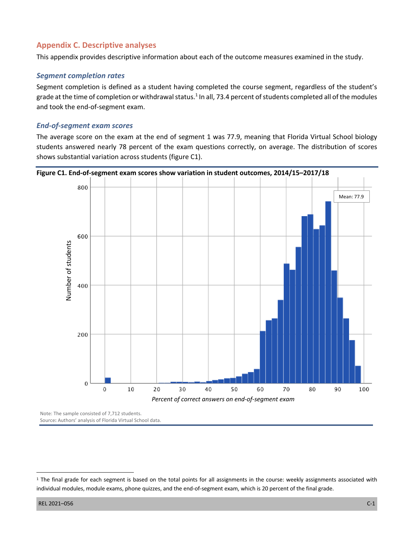# **Appendix C. Descriptive analyses**

This appendix provides descriptive information about each of the outcome measures examined in the study.

## *Segment completion rates*

Segment completion is defined as a student having completed the course segment, regardless of the student's grade at the time of completion or withdrawal status.<sup>1</sup> In all, 73.4 percent of students completed all of the modules and took the end-of-segment exam.

## *End-of-segment exam scores*

The average score on the exam at the end of segment 1 was 77.9, meaning that Florida Virtual School biology students answered nearly 78 percent of the exam questions correctly, on average. The distribution of scores shows substantial variation across students (figure C1).



Note: The sample consisted of 7,712 students. Source**:** Authors' analysis of Florida Virtual School data.

<sup>&</sup>lt;sup>1</sup> The final grade for each segment is based on the total points for all assignments in the course: weekly assignments associated with individual modules, module exams, phone quizzes, and the end-of-segment exam, which is 20 percent of the final grade.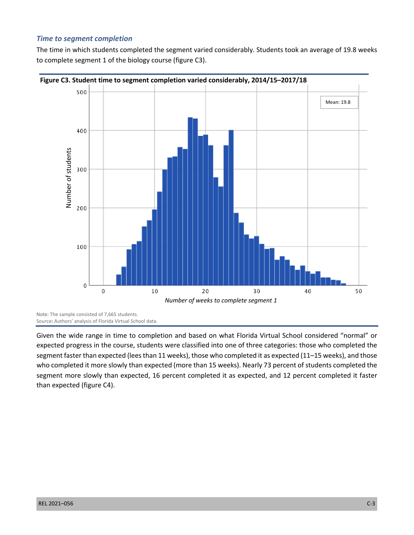#### *Time to segment completion*

The time in which students completed the segment varied considerably. Students took an average of 19.8 weeks to complete segment 1 of the biology course (figure C3).



Source**:** Authors' analysis of Florida Virtual School data.

Given the wide range in time to completion and based on what Florida Virtual School considered "normal" or expected progress in the course, students were classified into one of three categories: those who completed the segment faster than expected (lees than 11 weeks), those who completed it as expected (11–15 weeks), and those who completed it more slowly than expected (more than 15 weeks). Nearly 73 percent of students completed the segment more slowly than expected, 16 percent completed it as expected, and 12 percent completed it faster than expected (figure C4).